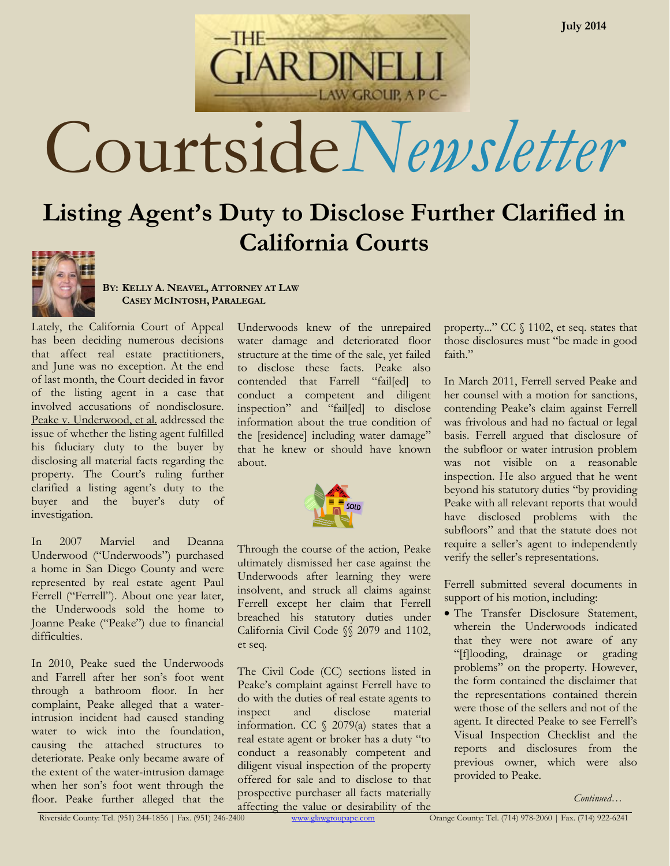Courtside*Newsletter*

ARDINELI

LAW GROUP, A P C-

# **Listing Agent's Duty to Disclose Further Clarified in California Courts**



**BY: KELLY A. NEAVEL, ATTORNEY AT LAW CASEY MCINTOSH, PARALEGAL**

Lately, the California Court of Appeal has been deciding numerous decisions that affect real estate practitioners, and June was no exception. At the end of last month, the Court decided in favor of the listing agent in a case that involved accusations of nondisclosure. Peake v. Underwood, et al. addressed the issue of whether the listing agent fulfilled his fiduciary duty to the buyer by disclosing all material facts regarding the property. The Court's ruling further clarified a listing agent's duty to the buyer and the buyer's duty of investigation.

In 2007 Marviel and Deanna Underwood ("Underwoods") purchased a home in San Diego County and were represented by real estate agent Paul Ferrell ("Ferrell"). About one year later, the Underwoods sold the home to Joanne Peake ("Peake") due to financial difficulties.

In 2010, Peake sued the Underwoods and Farrell after her son's foot went through a bathroom floor. In her complaint, Peake alleged that a waterintrusion incident had caused standing water to wick into the foundation, causing the attached structures to deteriorate. Peake only became aware of the extent of the water-intrusion damage when her son's foot went through the floor. Peake further alleged that the

Underwoods knew of the unrepaired water damage and deteriorated floor structure at the time of the sale, yet failed to disclose these facts. Peake also contended that Farrell "fail[ed] to conduct a competent and diligent inspection" and "fail[ed] to disclose information about the true condition of the [residence] including water damage" that he knew or should have known about.



Through the course of the action, Peake ultimately dismissed her case against the Underwoods after learning they were insolvent, and struck all claims against Ferrell except her claim that Ferrell breached his statutory duties under California Civil Code §§ 2079 and 1102, et seq.

The Civil Code (CC) sections listed in Peake's complaint against Ferrell have to do with the duties of real estate agents to inspect and disclose material information. CC  $\frac{2079}{a}$  states that a real estate agent or broker has a duty "to conduct a reasonably competent and diligent visual inspection of the property offered for sale and to disclose to that prospective purchaser all facts materially affecting the value or desirability of the property..." CC § 1102, et seq. states that those disclosures must "be made in good faith."

In March 2011, Ferrell served Peake and her counsel with a motion for sanctions, contending Peake's claim against Ferrell was frivolous and had no factual or legal basis. Ferrell argued that disclosure of the subfloor or water intrusion problem was not visible on a reasonable inspection. He also argued that he went beyond his statutory duties "by providing Peake with all relevant reports that would have disclosed problems with the subfloors" and that the statute does not require a seller's agent to independently verify the seller's representations.

Ferrell submitted several documents in support of his motion, including:

 The Transfer Disclosure Statement, wherein the Underwoods indicated that they were not aware of any "[f]looding, drainage or grading problems" on the property. However, the form contained the disclaimer that the representations contained therein were those of the sellers and not of the agent. It directed Peake to see Ferrell's Visual Inspection Checklist and the reports and disclosures from the previous owner, which were also provided to Peake.

*Continued…*